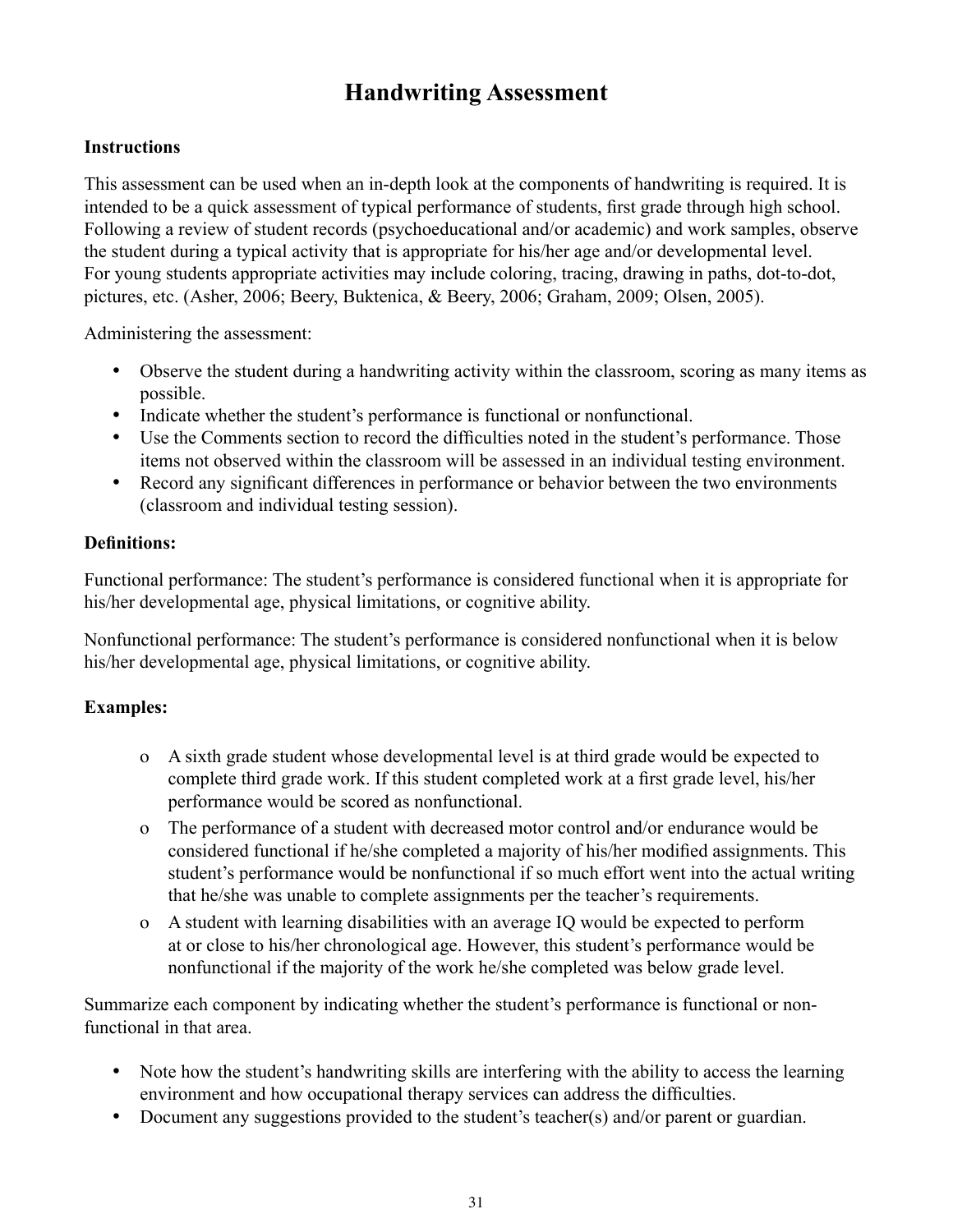# **Handwriting Assessment**

## **Instructions**

This assessment can be used when an in-depth look at the components of handwriting is required. It is intended to be a quick assessment of typical performance of students, first grade through high school. Following a review of student records (psychoeducational and/or academic) and work samples, observe the student during a typical activity that is appropriate for his/her age and/or developmental level. For young students appropriate activities may include coloring, tracing, drawing in paths, dot-to-dot, pictures, etc. (Asher, 2006; Beery, Buktenica, & Beery, 2006; Graham, 2009; Olsen, 2005).

Administering the assessment:

- Observe the student during a handwriting activity within the classroom, scoring as many items as possible.
- Indicate whether the student's performance is functional or nonfunctional.
- Use the Comments section to record the difficulties noted in the student's performance. Those items not observed within the classroom will be assessed in an individual testing environment.
- Record any significant differences in performance or behavior between the two environments (classroom and individual testing session).

### **Definitions:**

Functional performance: The student's performance is considered functional when it is appropriate for his/her developmental age, physical limitations, or cognitive ability.

Nonfunctional performance: The student's performance is considered nonfunctional when it is below his/her developmental age, physical limitations, or cognitive ability.

### **Examples:**

- o A sixth grade student whose developmental level is at third grade would be expected to complete third grade work. If this student completed work at a first grade level, his/her performance would be scored as nonfunctional.
- o The performance of a student with decreased motor control and/or endurance would be considered functional if he/she completed a majority of his/her modified assignments. This student's performance would be nonfunctional if so much effort went into the actual writing that he/she was unable to complete assignments per the teacher's requirements.
- o A student with learning disabilities with an average IQ would be expected to perform at or close to his/her chronological age. However, this student's performance would be nonfunctional if the majority of the work he/she completed was below grade level.

Summarize each component by indicating whether the student's performance is functional or nonfunctional in that area.

- Note how the student's handwriting skills are interfering with the ability to access the learning environment and how occupational therapy services can address the difficulties.
- Document any suggestions provided to the student's teacher(s) and/or parent or guardian.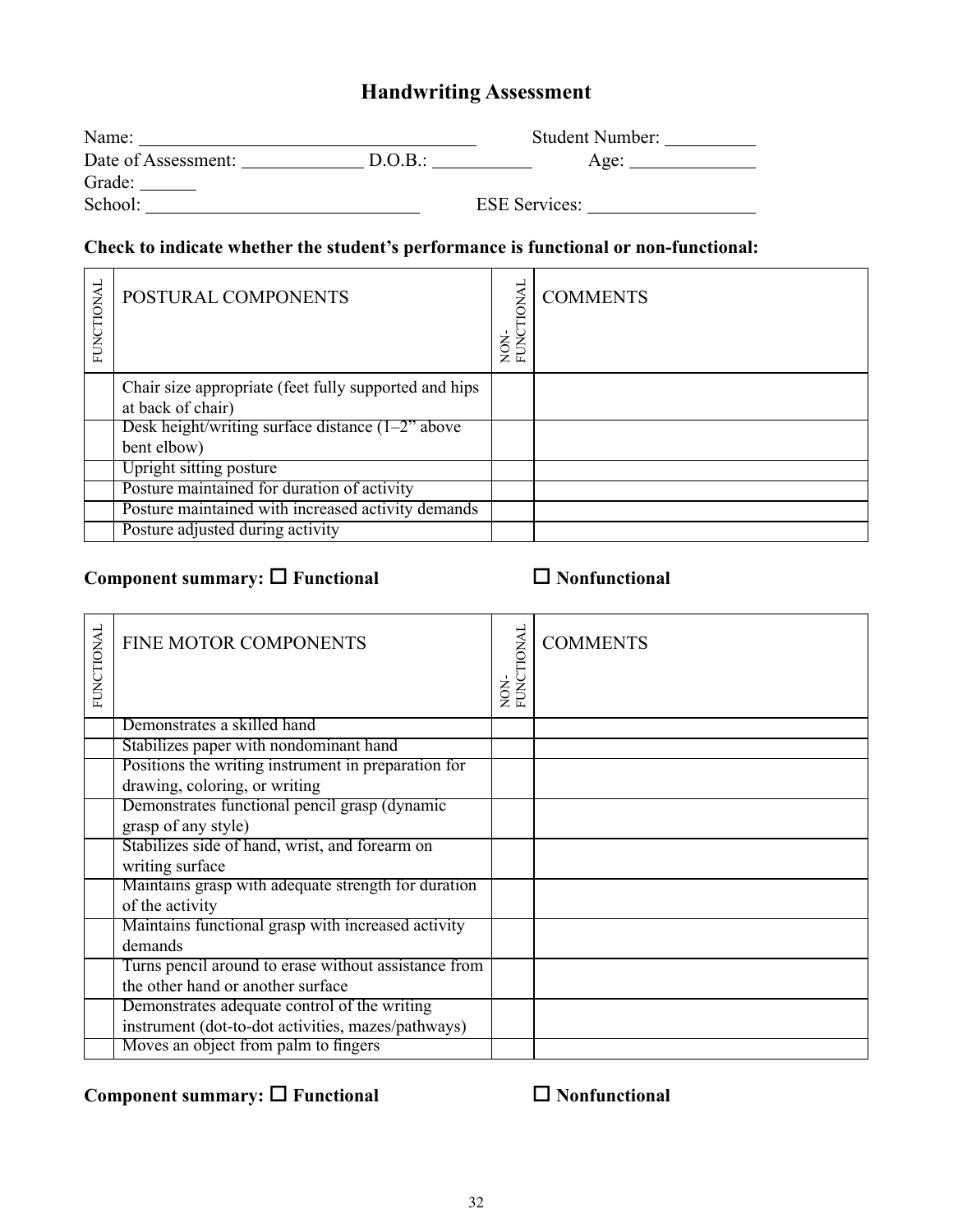# **Handwriting Assessment**

| Name:               |         | <b>Student Number:</b> |
|---------------------|---------|------------------------|
| Date of Assessment: | D.O.B.: | Age:                   |
| Grade:              |         |                        |
| School:             |         | <b>ESE Services:</b>   |

# **Check to indicate whether the student's performance is functional or non-functional:**

| FUNCTIONAL | POSTURAL COMPONENTS                                                        | <b>EUNCTIONAL</b><br>NON- | <b>COMMENTS</b> |
|------------|----------------------------------------------------------------------------|---------------------------|-----------------|
|            | Chair size appropriate (feet fully supported and hips<br>at back of chair) |                           |                 |
|            | Desk height/writing surface distance $(1-2)$ above                         |                           |                 |
|            | bent elbow)                                                                |                           |                 |
|            | Upright sitting posture                                                    |                           |                 |
|            | Posture maintained for duration of activity                                |                           |                 |
|            | Posture maintained with increased activity demands                         |                           |                 |
|            | Posture adjusted during activity                                           |                           |                 |

# **Component summary: □ Functional Nonfunctional**

| FUNCTIONAL | FINE MOTOR COMPONENTS                                | <b>FUNCTIONAL</b><br>NON- | <b>COMMENTS</b> |
|------------|------------------------------------------------------|---------------------------|-----------------|
|            | Demonstrates a skilled hand                          |                           |                 |
|            | Stabilizes paper with nondominant hand               |                           |                 |
|            | Positions the writing instrument in preparation for  |                           |                 |
|            | drawing, coloring, or writing                        |                           |                 |
|            | Demonstrates functional pencil grasp (dynamic        |                           |                 |
|            | grasp of any style)                                  |                           |                 |
|            | Stabilizes side of hand, wrist, and forearm on       |                           |                 |
|            | writing surface                                      |                           |                 |
|            | Maintains grasp with adequate strength for duration  |                           |                 |
|            | of the activity                                      |                           |                 |
|            | Maintains functional grasp with increased activity   |                           |                 |
|            | demands                                              |                           |                 |
|            | Turns pencil around to erase without assistance from |                           |                 |
|            | the other hand or another surface                    |                           |                 |
|            | Demonstrates adequate control of the writing         |                           |                 |
|            | instrument (dot-to-dot activities, mazes/pathways)   |                           |                 |
|            | Moves an object from palm to fingers                 |                           |                 |

# **Component summary: □ Functional Nonfunctional**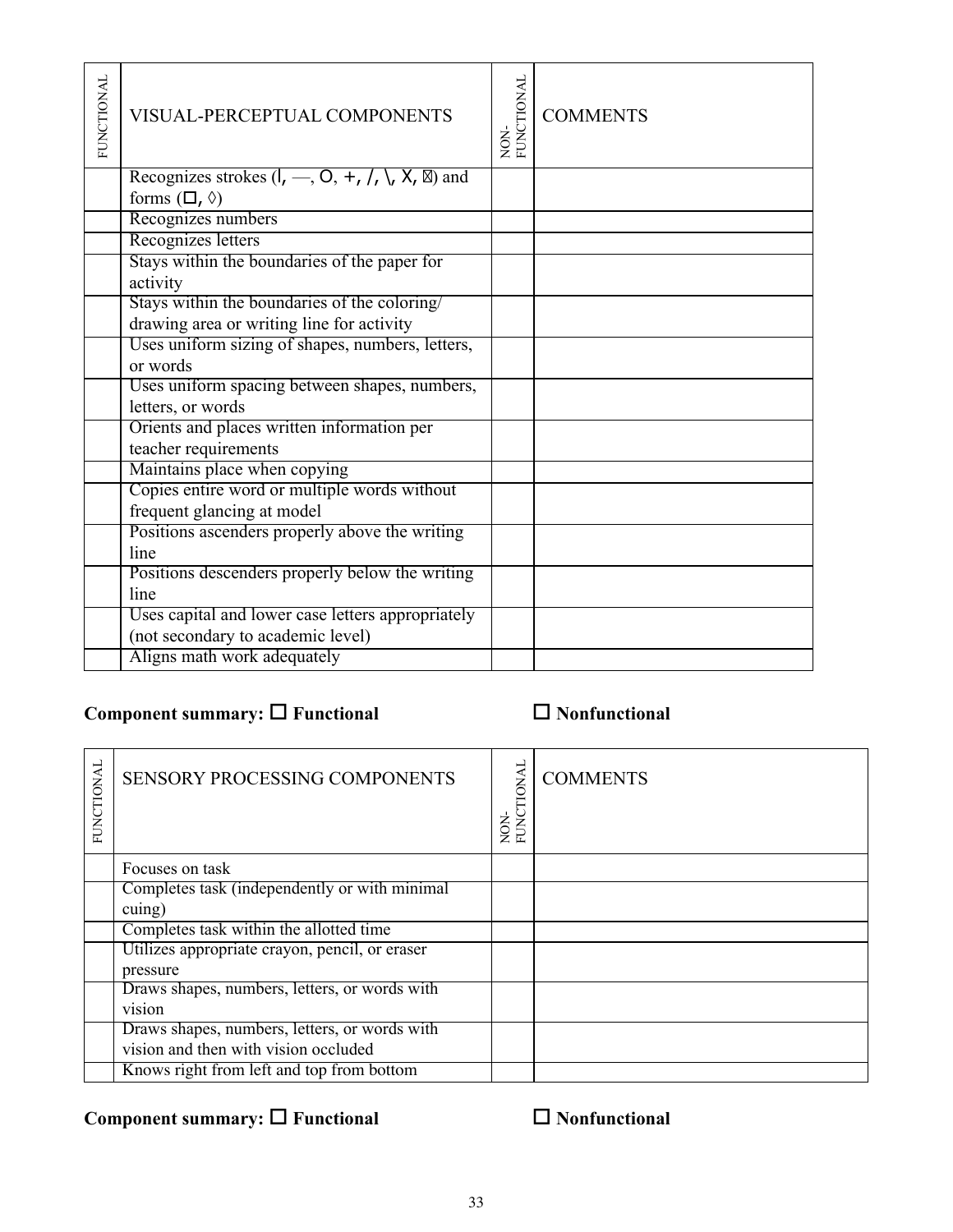| <b>FUNCTIONAL</b> | <b>VISUAL-PERCEPTUAL COMPONENTS</b>                       | <b>FUNCTIONAL</b><br>NON- | <b>COMMENTS</b> |
|-------------------|-----------------------------------------------------------|---------------------------|-----------------|
|                   | Recognizes strokes $(I, -, O, +, /, \setminus, X,$<br>and |                           |                 |
|                   | forms $(\Box, \Diamond)$                                  |                           |                 |
|                   | Recognizes numbers                                        |                           |                 |
|                   | Recognizes letters                                        |                           |                 |
|                   | Stays within the boundaries of the paper for              |                           |                 |
|                   | activity                                                  |                           |                 |
|                   | Stays within the boundaries of the coloring/              |                           |                 |
|                   | drawing area or writing line for activity                 |                           |                 |
|                   | Uses uniform sizing of shapes, numbers, letters,          |                           |                 |
|                   | or words                                                  |                           |                 |
|                   | Uses uniform spacing between shapes, numbers,             |                           |                 |
|                   | letters, or words                                         |                           |                 |
|                   | Orients and places written information per                |                           |                 |
|                   | teacher requirements                                      |                           |                 |
|                   | Maintains place when copying                              |                           |                 |
|                   | Copies entire word or multiple words without              |                           |                 |
|                   | frequent glancing at model                                |                           |                 |
|                   | Positions ascenders properly above the writing            |                           |                 |
|                   | line                                                      |                           |                 |
|                   | Positions descenders properly below the writing           |                           |                 |
|                   | line                                                      |                           |                 |
|                   | Uses capital and lower case letters appropriately         |                           |                 |
|                   | (not secondary to academic level)                         |                           |                 |
|                   | Aligns math work adequately                               |                           |                 |

### **Component summary: □ Functional Nonfunctional**

| FUNCTIONAL | <b>SENSORY PROCESSING COMPONENTS</b>           | NON-<br>FUNCTIONAL | <b>COMMENTS</b> |
|------------|------------------------------------------------|--------------------|-----------------|
|            | Focuses on task                                |                    |                 |
|            | Completes task (independently or with minimal  |                    |                 |
|            | cuing)                                         |                    |                 |
|            | Completes task within the allotted time        |                    |                 |
|            | Utilizes appropriate crayon, pencil, or eraser |                    |                 |
|            | pressure                                       |                    |                 |
|            | Draws shapes, numbers, letters, or words with  |                    |                 |
|            | vision                                         |                    |                 |
|            | Draws shapes, numbers, letters, or words with  |                    |                 |
|            | vision and then with vision occluded           |                    |                 |
|            | Knows right from left and top from bottom      |                    |                 |

# **Component summary: □ Functional Nonfunctional**